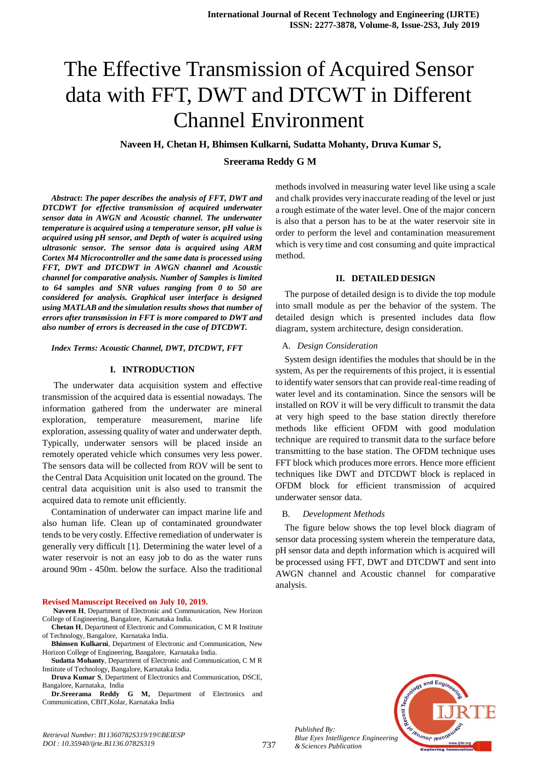# The Effective Transmission of Acquired Sensor data with FFT, DWT and DTCWT in Different Channel Environment

 **Naveen H, Chetan H, Bhimsen Kulkarni, Sudatta Mohanty, Druva Kumar S,** 

**Sreerama Reddy G M**

*Abstract***:** *The paper describes the analysis of FFT, DWT and DTCDWT for effective transmission of acquired underwater sensor data in AWGN and Acoustic channel. The underwater temperature is acquired using a temperature sensor, pH value is acquired using pH sensor, and Depth of water is acquired using ultrasonic sensor. The sensor data is acquired using ARM Cortex M4 Microcontroller and the same data is processed using FFT, DWT and DTCDWT in AWGN channel and Acoustic channel for comparative analysis. Number of Samples is limited to 64 samples and SNR values ranging from 0 to 50 are considered for analysis. Graphical user interface is designed using MATLAB and the simulation results shows that number of errors after transmission in FFT is more compared to DWT and also number of errors is decreased in the case of DTCDWT.*

*Index Terms: Acoustic Channel, DWT, DTCDWT, FFT*

#### **I. INTRODUCTION**

The underwater data acquisition system and effective transmission of the acquired data is essential nowadays. The information gathered from the underwater are mineral exploration, temperature measurement, marine life exploration, assessing quality of water and underwater depth. Typically, underwater sensors will be placed inside an remotely operated vehicle which consumes very less power. The sensors data will be collected from ROV will be sent to the Central Data Acquisition unit located on the ground. The central data acquisition unit is also used to transmit the acquired data to remote unit efficiently.

Contamination of underwater can impact marine life and also human life. Clean up of contaminated groundwater tends to be very costly. Effective remediation of underwater is generally very difficult [1]. Determining the water level of a water reservoir is not an easy job to do as the water runs around 90m - 450m. below the surface. Also the traditional

#### **Revised Manuscript Received on July 10, 2019.**

**Naveen H**, Department of Electronic and Communication, New Horizon College of Engineering, Bangalore, Karnataka India.

**Chetan H**, Department of Electronic and Communication, C M R Institute of Technology, Bangalore, Karnataka India.

**Bhimsen Kulkarni**, Department of Electronic and Communication, New Horizon College of Engineering, Bangalore, Karnataka India.

**Sudatta Mohanty**, Department of Electronic and Communication, C M R Institute of Technology, Bangalore, Karnataka India.

**Druva Kumar S**, Department of Electronics and Communication, DSCE, Bangalore, Karnataka, India

**Dr.Sreerama Reddy G M,** Department of Electronics and Communication, CBIT,Kolar, Karnataka India

methods involved in measuring water level like using a scale and chalk provides very inaccurate reading of the level or just a rough estimate of the water level. One of the major concern is also that a person has to be at the water reservoir site in order to perform the level and contamination measurement which is very time and cost consuming and quite impractical method.

#### **II. DETAILED DESIGN**

The purpose of detailed design is to divide the top module into small module as per the behavior of the system. The detailed design which is presented includes data flow diagram, system architecture, design consideration.

#### A. *Design Consideration*

System design identifies the modules that should be in the system, As per the requirements of this project, it is essential to identify water sensors that can provide real-time reading of water level and its contamination. Since the sensors will be installed on ROV it will be very difficult to transmit the data at very high speed to the base station directly therefore methods like efficient OFDM with good modulation technique are required to transmit data to the surface before transmitting to the base station. The OFDM technique uses FFT block which produces more errors. Hence more efficient techniques like DWT and DTCDWT block is replaced in OFDM block for efficient transmission of acquired underwater sensor data.

#### B. *Development Methods*

The figure below shows the top level block diagram of sensor data processing system wherein the temperature data, pH sensor data and depth information which is acquired will be processed using FFT, DWT and DTCDWT and sent into AWGN channel and Acoustic channel for comparative analysis.



*Published By: Blue Eyes Intelligence Engineering & Sciences Publication*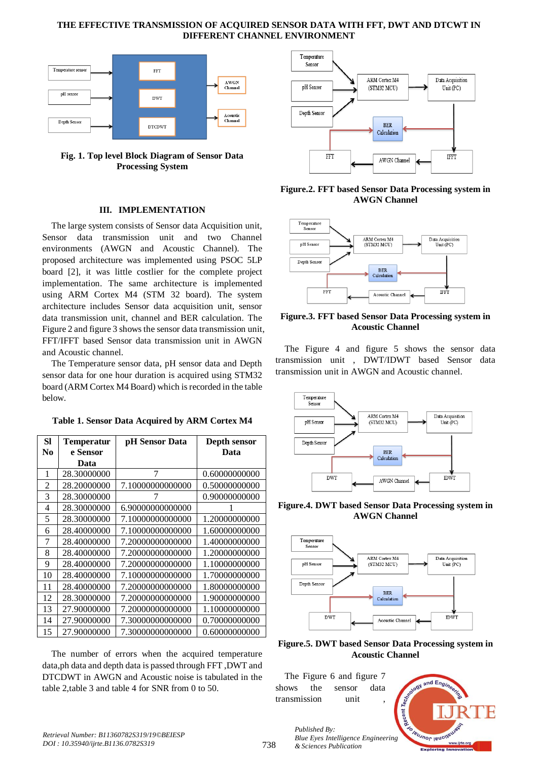## **THE EFFECTIVE TRANSMISSION OF ACQUIRED SENSOR DATA WITH FFT, DWT AND DTCWT IN DIFFERENT CHANNEL ENVIRONMENT**



**Fig. 1. Top level Block Diagram of Sensor Data Processing System**

#### **III. IMPLEMENTATION**

The large system consists of Sensor data Acquisition unit, Sensor data transmission unit and two Channel environments (AWGN and Acoustic Channel). The proposed architecture was implemented using PSOC 5LP board [2], it was little costlier for the complete project implementation. The same architecture is implemented using ARM Cortex M4 (STM 32 board). The system architecture includes Sensor data acquisition unit, sensor data transmission unit, channel and BER calculation. The Figure 2 and figure 3 shows the sensor data transmission unit, FFT/IFFT based Sensor data transmission unit in AWGN and Acoustic channel.

The Temperature sensor data, pH sensor data and Depth sensor data for one hour duration is acquired using STM32 board (ARM Cortex M4 Board) which is recorded in the table below.

| SI             | <b>Temperatur</b> | pH Sensor Data   | Depth sensor  |  |
|----------------|-------------------|------------------|---------------|--|
| No             | e Sensor          |                  | Data          |  |
|                | Data              |                  |               |  |
| 1              | 28.30000000       | 7                | 0.60000000000 |  |
| $\overline{c}$ | 28.20000000       | 7.10000000000000 | 0.50000000000 |  |
| 3              | 28.30000000       |                  | 0.90000000000 |  |
| 4              | 28.30000000       | 6.90000000000000 |               |  |
| 5              | 28.30000000       | 7.10000000000000 | 1.20000000000 |  |
| 6              | 28.40000000       | 7.10000000000000 | 1.60000000000 |  |
| 7              | 28.40000000       | 7.20000000000000 | 1.40000000000 |  |
| 8              | 28.40000000       | 7.20000000000000 | 1.20000000000 |  |
| 9              | 28.40000000       | 7.20000000000000 | 1.10000000000 |  |
| 10             | 28.40000000       | 7.10000000000000 | 1.70000000000 |  |
| 11             | 28.40000000       | 7.20000000000000 | 1.80000000000 |  |
| 12             | 28.30000000       | 7.20000000000000 | 1.90000000000 |  |
| 13             | 27.90000000       | 7.20000000000000 | 1.10000000000 |  |
| 14             | 27.90000000       | 7.30000000000000 | 0.70000000000 |  |
| 15             | 27.90000000       | 7.30000000000000 | 0.60000000000 |  |

**Table 1. Sensor Data Acquired by ARM Cortex M4**

The number of errors when the acquired temperature data,ph data and depth data is passed through FFT ,DWT and DTCDWT in AWGN and Acoustic noise is tabulated in the table 2,table 3 and table 4 for SNR from 0 to 50.



**Figure.2. FFT based Sensor Data Processing system in AWGN Channel**



**Figure.3. FFT based Sensor Data Processing system in Acoustic Channel**

The Figure 4 and figure 5 shows the sensor data transmission unit , DWT/IDWT based Sensor data transmission unit in AWGN and Acoustic channel.



**Figure.4. DWT based Sensor Data Processing system in AWGN Channel**



**Figure.5. DWT based Sensor Data Processing system in Acoustic Channel**

The Figure 6 and figure 7 shows the sensor data transmission unit

*& Sciences Publication* 

*Published By:*

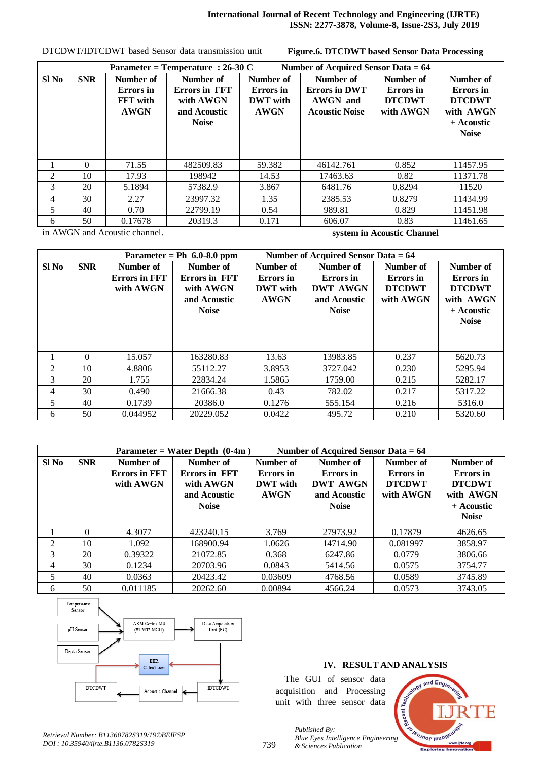| Parameter = Temperature : $26-30$ C<br>Number of Acquired Sensor Data = 64 |            |                                                          |                                                                         |                                                          |                                                                        |                                                      |                                                                                    |
|----------------------------------------------------------------------------|------------|----------------------------------------------------------|-------------------------------------------------------------------------|----------------------------------------------------------|------------------------------------------------------------------------|------------------------------------------------------|------------------------------------------------------------------------------------|
| Sl <sub>No</sub>                                                           | <b>SNR</b> | Number of<br>Errors in<br><b>FFT</b> with<br><b>AWGN</b> | Number of<br>Errors in FFT<br>with AWGN<br>and Acoustic<br><b>Noise</b> | Number of<br>Errors in<br><b>DWT</b> with<br><b>AWGN</b> | Number of<br><b>Errors in DWT</b><br>AWGN and<br><b>Acoustic Noise</b> | Number of<br>Errors in<br><b>DTCDWT</b><br>with AWGN | Number of<br>Errors in<br><b>DTCDWT</b><br>with AWGN<br>+ Acoustic<br><b>Noise</b> |
|                                                                            | 0          | 71.55                                                    | 482509.83                                                               | 59.382                                                   | 46142.761                                                              | 0.852                                                | 11457.95                                                                           |
| $\mathfrak{D}$                                                             | 10         | 17.93                                                    | 198942                                                                  | 14.53                                                    | 17463.63                                                               | 0.82                                                 | 11371.78                                                                           |
| 3                                                                          | 20         | 5.1894                                                   | 57382.9                                                                 | 3.867                                                    | 6481.76                                                                | 0.8294                                               | 11520                                                                              |
| 4                                                                          | 30         | 2.27                                                     | 23997.32                                                                | 1.35                                                     | 2385.53                                                                | 0.8279                                               | 11434.99                                                                           |
| 5                                                                          | 40         | 0.70                                                     | 22799.19                                                                | 0.54                                                     | 989.81                                                                 | 0.829                                                | 11451.98                                                                           |
| 6                                                                          | 50         | 0.17678                                                  | 20319.3                                                                 | 0.171                                                    | 606.07                                                                 | 0.83                                                 | 11461.65                                                                           |

DTCDWT/IDTCDWT based Sensor data transmission unit

**Figure.6. DTCDWT based Sensor Data Processing** 

in AWGN and Acoustic channel.

**system in Acoustic Channel**

|       |            |                                                | Parameter = Ph $6.0-8.0$ ppm                                            | Number of Acquired Sensor Data = 64                      |                                                                                  |                                                      |                                                                                    |
|-------|------------|------------------------------------------------|-------------------------------------------------------------------------|----------------------------------------------------------|----------------------------------------------------------------------------------|------------------------------------------------------|------------------------------------------------------------------------------------|
| Sl No | <b>SNR</b> | Number of<br><b>Errors in FFT</b><br>with AWGN | Number of<br>Errors in FFT<br>with AWGN<br>and Acoustic<br><b>Noise</b> | Number of<br>Errors in<br><b>DWT</b> with<br><b>AWGN</b> | Number of<br><b>Errors</b> in<br><b>DWT AWGN</b><br>and Acoustic<br><b>Noise</b> | Number of<br>Errors in<br><b>DTCDWT</b><br>with AWGN | Number of<br>Errors in<br><b>DTCDWT</b><br>with AWGN<br>+ Acoustic<br><b>Noise</b> |
|       | 0          | 15.057                                         | 163280.83                                                               | 13.63                                                    | 13983.85                                                                         | 0.237                                                | 5620.73                                                                            |
| 2     | 10         | 4.8806                                         | 55112.27                                                                | 3.8953                                                   | 3727.042                                                                         | 0.230                                                | 5295.94                                                                            |
| 3     | 20         | 1.755                                          | 22834.24                                                                | 1.5865                                                   | 1759.00                                                                          | 0.215                                                | 5282.17                                                                            |
| 4     | 30         | 0.490                                          | 21666.38                                                                | 0.43                                                     | 782.02                                                                           | 0.217                                                | 5317.22                                                                            |
| 5     | 40         | 0.1739                                         | 20386.0                                                                 | 0.1276                                                   | 555.154                                                                          | 0.216                                                | 5316.0                                                                             |
| 6     | 50         | 0.044952                                       | 20229.052                                                               | 0.0422                                                   | 495.72                                                                           | 0.210                                                | 5320.60                                                                            |

| Number of Acquired Sensor Data $= 64$<br>Parameter = Water Depth $(0-4m)$ |            |                                                |                                                                |                                                                 |                                                           |                                                      |                                                      |
|---------------------------------------------------------------------------|------------|------------------------------------------------|----------------------------------------------------------------|-----------------------------------------------------------------|-----------------------------------------------------------|------------------------------------------------------|------------------------------------------------------|
| Sl No                                                                     | <b>SNR</b> | Number of<br><b>Errors in FFT</b><br>with AWGN | Number of<br><b>Errors in FFT</b><br>with AWGN<br>and Acoustic | Number of<br><b>Errors</b> in<br><b>DWT</b> with<br><b>AWGN</b> | Number of<br>Errors in<br><b>DWT AWGN</b><br>and Acoustic | Number of<br>Errors in<br><b>DTCDWT</b><br>with AWGN | Number of<br>Errors in<br><b>DTCDWT</b><br>with AWGN |
|                                                                           |            |                                                | <b>Noise</b>                                                   |                                                                 | <b>Noise</b>                                              |                                                      | + Acoustic<br><b>Noise</b>                           |
|                                                                           | $\Omega$   | 4.3077                                         | 423240.15                                                      | 3.769                                                           | 27973.92                                                  | 0.17879                                              | 4626.65                                              |
| $\mathfrak{D}$                                                            | 10         | 1.092                                          | 168900.94                                                      | 1.0626                                                          | 14714.90                                                  | 0.081997                                             | 3858.97                                              |
| 3                                                                         | 20         | 0.39322                                        | 21072.85                                                       | 0.368                                                           | 6247.86                                                   | 0.0779                                               | 3806.66                                              |
| 4                                                                         | 30         | 0.1234                                         | 20703.96                                                       | 0.0843                                                          | 5414.56                                                   | 0.0575                                               | 3754.77                                              |
| 5                                                                         | 40         | 0.0363                                         | 20423.42                                                       | 0.03609                                                         | 4768.56                                                   | 0.0589                                               | 3745.89                                              |
| 6                                                                         | 50         | 0.011185                                       | 20262.60                                                       | 0.00894                                                         | 4566.24                                                   | 0.0573                                               | 3743.05                                              |



## **IV. RESULT AND ANALYSIS**

The GUI of sensor data acquisition and Processing unit with three sensor data

*& Sciences Publication* 

*Published By:*



*Retrieval Number: B11360782S319/19©BEIESP DOI : 10.35940/ijrte.B1136.0782S319*

739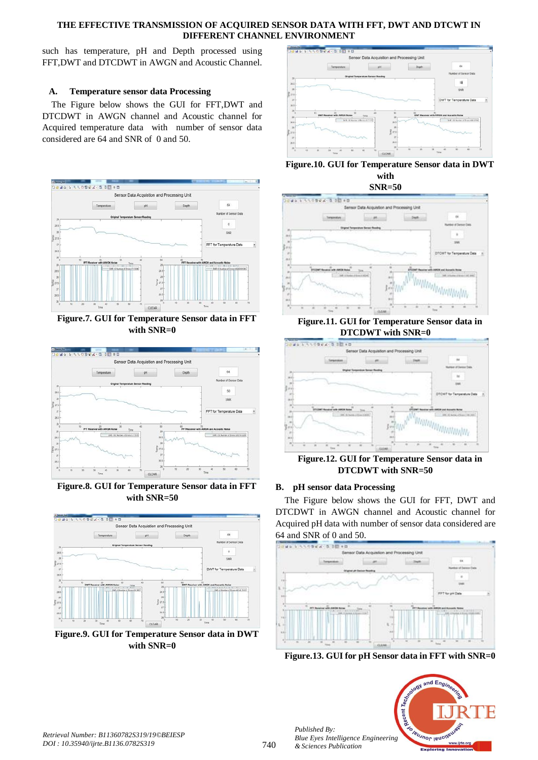## **THE EFFECTIVE TRANSMISSION OF ACQUIRED SENSOR DATA WITH FFT, DWT AND DTCWT IN DIFFERENT CHANNEL ENVIRONMENT**

such has temperature, pH and Depth processed using FFT,DWT and DTCDWT in AWGN and Acoustic Channel.

## **A. Temperature sensor data Processing**

The Figure below shows the GUI for FFT,DWT and DTCDWT in AWGN channel and Acoustic channel for Acquired temperature data with number of sensor data considered are 64 and SNR of 0 and 50.



**Figure.7. GUI for Temperature Sensor data in FFT with SNR=0**



**Figure.8. GUI for Temperature Sensor data in FFT with SNR=50**







**SNR=50**



### **Figure.11. GUI for Temperature Sensor data in DTCDWT with SNR=0**



**Figure.12. GUI for Temperature Sensor data in DTCDWT with SNR=50**

#### **B. pH sensor data Processing**

The Figure below shows the GUI for FFT, DWT and DTCDWT in AWGN channel and Acoustic channel for Acquired pH data with number of sensor data considered are 64 and SNR of 0 and 50.



**Figure.13. GUI for pH Sensor data in FFT with SNR=0**



*Published By:*

*& Sciences Publication*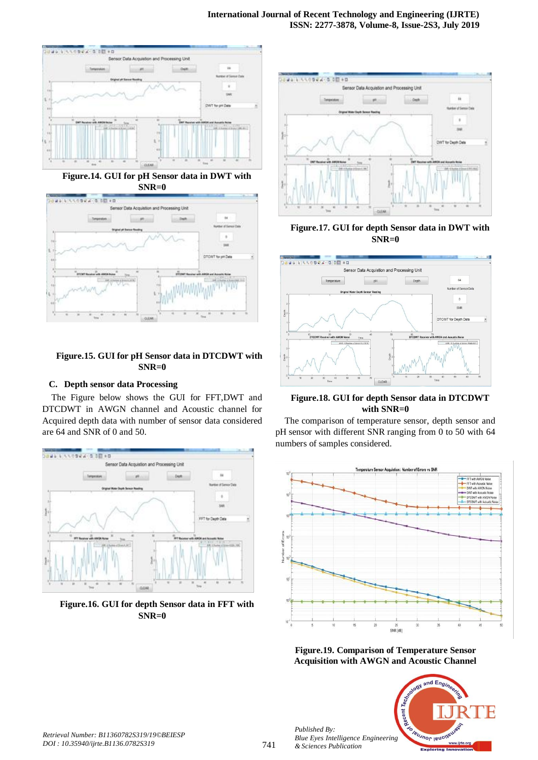

**Figure.14. GUI for pH Sensor data in DWT with SNR=0**



## **Figure.15. GUI for pH Sensor data in DTCDWT with SNR=0**

## **C. Depth sensor data Processing**

The Figure below shows the GUI for FFT,DWT and DTCDWT in AWGN channel and Acoustic channel for Acquired depth data with number of sensor data considered are 64 and SNR of 0 and 50.



**Figure.16. GUI for depth Sensor data in FFT with SNR=0**



**Figure.17. GUI for depth Sensor data in DWT with SNR=0**



**Figure.18. GUI for depth Sensor data in DTCDWT with SNR=0**

The comparison of temperature sensor, depth sensor and pH sensor with different SNR ranging from 0 to 50 with 64 numbers of samples considered.







*Published By:*

*& Sciences Publication*